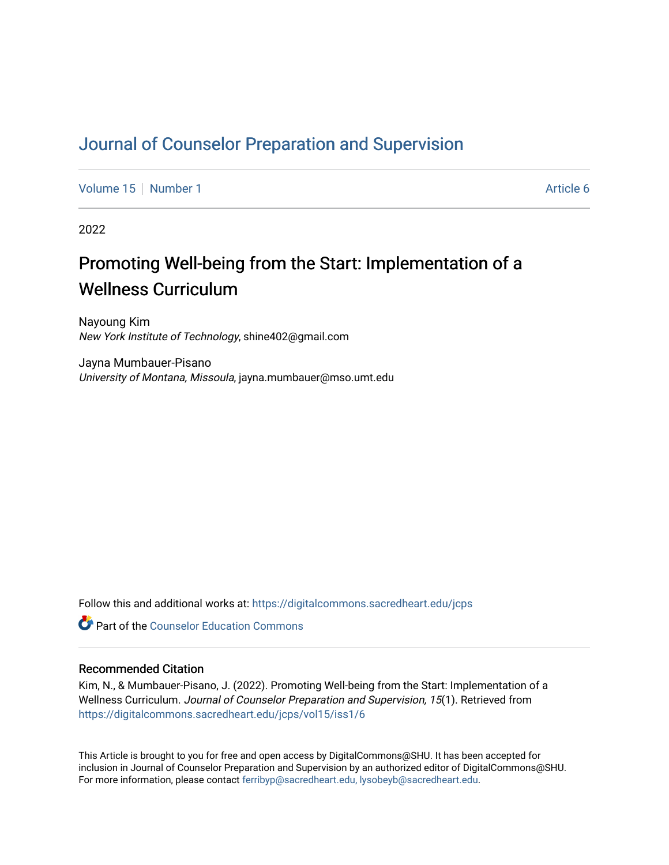## [Journal of Counselor Preparation and Supervision](https://digitalcommons.sacredheart.edu/jcps)

[Volume 15](https://digitalcommons.sacredheart.edu/jcps/vol15) [Number 1](https://digitalcommons.sacredheart.edu/jcps/vol15/iss1) Article 6

2022

# Promoting Well-being from the Start: Implementation of a Wellness Curriculum

Nayoung Kim New York Institute of Technology, shine402@gmail.com

Jayna Mumbauer-Pisano University of Montana, Missoula, jayna.mumbauer@mso.umt.edu

Follow this and additional works at: [https://digitalcommons.sacredheart.edu/jcps](https://digitalcommons.sacredheart.edu/jcps?utm_source=digitalcommons.sacredheart.edu%2Fjcps%2Fvol15%2Fiss1%2F6&utm_medium=PDF&utm_campaign=PDFCoverPages) 

**C** Part of the Counselor Education Commons

### Recommended Citation

Kim, N., & Mumbauer-Pisano, J. (2022). Promoting Well-being from the Start: Implementation of a Wellness Curriculum. Journal of Counselor Preparation and Supervision, 15(1). Retrieved from [https://digitalcommons.sacredheart.edu/jcps/vol15/iss1/6](https://digitalcommons.sacredheart.edu/jcps/vol15/iss1/6?utm_source=digitalcommons.sacredheart.edu%2Fjcps%2Fvol15%2Fiss1%2F6&utm_medium=PDF&utm_campaign=PDFCoverPages)

This Article is brought to you for free and open access by DigitalCommons@SHU. It has been accepted for inclusion in Journal of Counselor Preparation and Supervision by an authorized editor of DigitalCommons@SHU. For more information, please contact [ferribyp@sacredheart.edu, lysobeyb@sacredheart.edu.](mailto:ferribyp@sacredheart.edu,%20lysobeyb@sacredheart.edu)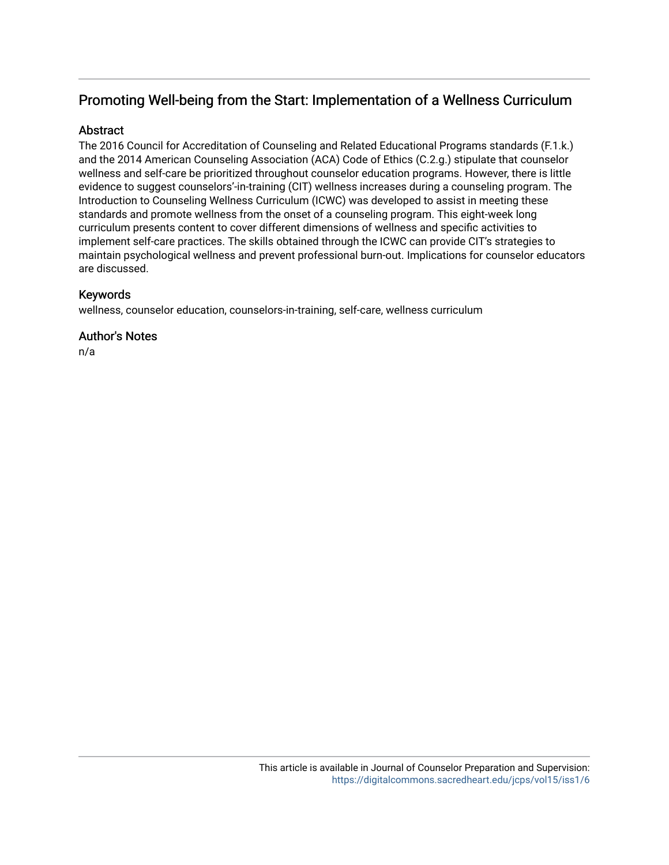## Promoting Well-being from the Start: Implementation of a Wellness Curriculum

## **Abstract**

The 2016 Council for Accreditation of Counseling and Related Educational Programs standards (F.1.k.) and the 2014 American Counseling Association (ACA) Code of Ethics (C.2.g.) stipulate that counselor wellness and self-care be prioritized throughout counselor education programs. However, there is little evidence to suggest counselors'-in-training (CIT) wellness increases during a counseling program. The Introduction to Counseling Wellness Curriculum (ICWC) was developed to assist in meeting these standards and promote wellness from the onset of a counseling program. This eight-week long curriculum presents content to cover different dimensions of wellness and specific activities to implement self-care practices. The skills obtained through the ICWC can provide CIT's strategies to maintain psychological wellness and prevent professional burn-out. Implications for counselor educators are discussed.

## Keywords

wellness, counselor education, counselors-in-training, self-care, wellness curriculum

## Author's Notes

n/a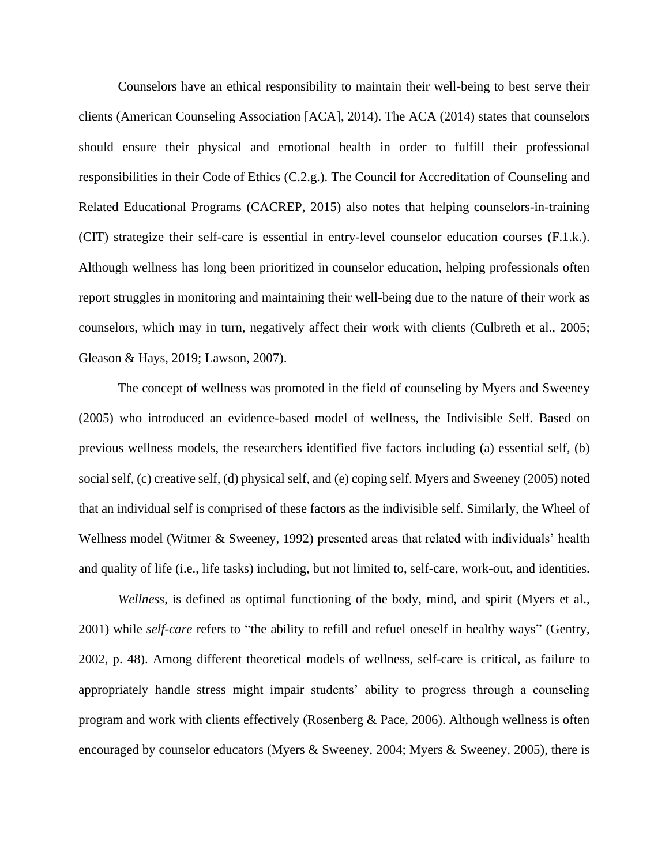Counselors have an ethical responsibility to maintain their well-being to best serve their clients (American Counseling Association [ACA], 2014). The ACA (2014) states that counselors should ensure their physical and emotional health in order to fulfill their professional responsibilities in their Code of Ethics (C.2.g.). The Council for Accreditation of Counseling and Related Educational Programs (CACREP, 2015) also notes that helping counselors-in-training (CIT) strategize their self-care is essential in entry-level counselor education courses (F.1.k.). Although wellness has long been prioritized in counselor education, helping professionals often report struggles in monitoring and maintaining their well-being due to the nature of their work as counselors, which may in turn, negatively affect their work with clients (Culbreth et al., 2005; Gleason & Hays, 2019; Lawson, 2007).

The concept of wellness was promoted in the field of counseling by Myers and Sweeney (2005) who introduced an evidence-based model of wellness, the Indivisible Self. Based on previous wellness models, the researchers identified five factors including (a) essential self, (b) social self, (c) creative self, (d) physical self, and (e) coping self. Myers and Sweeney (2005) noted that an individual self is comprised of these factors as the indivisible self. Similarly, the Wheel of Wellness model (Witmer & Sweeney, 1992) presented areas that related with individuals' health and quality of life (i.e., life tasks) including, but not limited to, self-care, work-out, and identities.

*Wellness*, is defined as optimal functioning of the body, mind, and spirit (Myers et al., 2001) while *self-care* refers to "the ability to refill and refuel oneself in healthy ways" (Gentry, 2002, p. 48). Among different theoretical models of wellness, self-care is critical, as failure to appropriately handle stress might impair students' ability to progress through a counseling program and work with clients effectively (Rosenberg & Pace, 2006). Although wellness is often encouraged by counselor educators (Myers & Sweeney, 2004; Myers & Sweeney, 2005), there is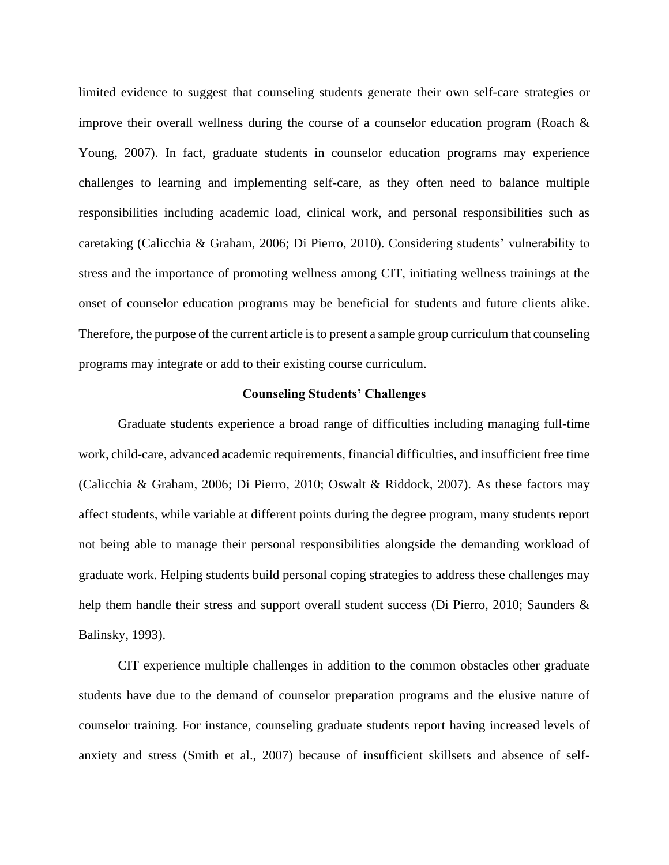limited evidence to suggest that counseling students generate their own self-care strategies or improve their overall wellness during the course of a counselor education program (Roach & Young, 2007). In fact, graduate students in counselor education programs may experience challenges to learning and implementing self-care, as they often need to balance multiple responsibilities including academic load, clinical work, and personal responsibilities such as caretaking (Calicchia & Graham, 2006; Di Pierro, 2010). Considering students' vulnerability to stress and the importance of promoting wellness among CIT, initiating wellness trainings at the onset of counselor education programs may be beneficial for students and future clients alike. Therefore, the purpose of the current article is to present a sample group curriculum that counseling programs may integrate or add to their existing course curriculum.

#### **Counseling Students' Challenges**

Graduate students experience a broad range of difficulties including managing full-time work, child-care, advanced academic requirements, financial difficulties, and insufficient free time (Calicchia & Graham, 2006; Di Pierro, 2010; Oswalt & Riddock, 2007). As these factors may affect students, while variable at different points during the degree program, many students report not being able to manage their personal responsibilities alongside the demanding workload of graduate work. Helping students build personal coping strategies to address these challenges may help them handle their stress and support overall student success (Di Pierro, 2010; Saunders & Balinsky, 1993).

CIT experience multiple challenges in addition to the common obstacles other graduate students have due to the demand of counselor preparation programs and the elusive nature of counselor training. For instance, counseling graduate students report having increased levels of anxiety and stress (Smith et al., 2007) because of insufficient skillsets and absence of self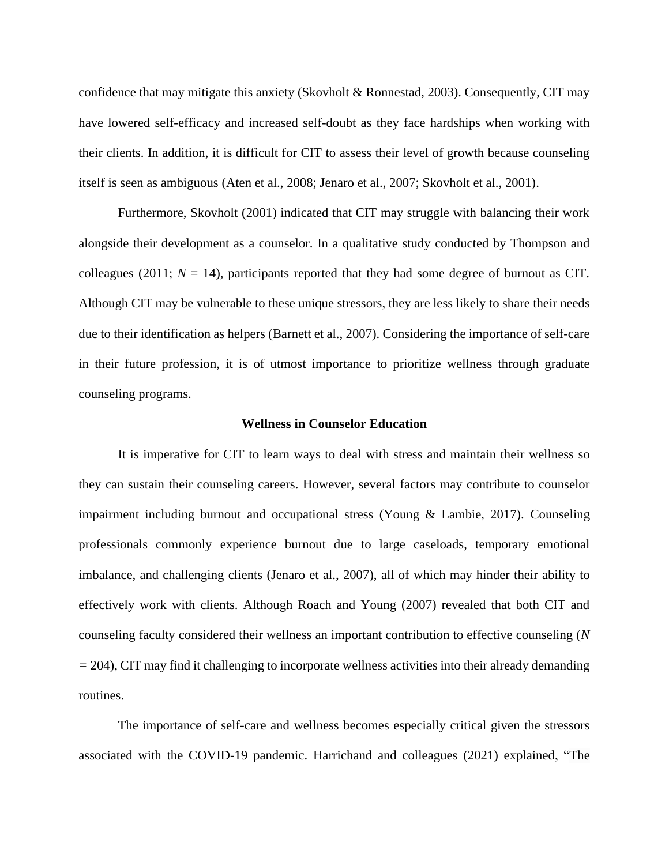confidence that may mitigate this anxiety (Skovholt & Ronnestad, 2003). Consequently, CIT may have lowered self-efficacy and increased self-doubt as they face hardships when working with their clients. In addition, it is difficult for CIT to assess their level of growth because counseling itself is seen as ambiguous (Aten et al., 2008; Jenaro et al., 2007; Skovholt et al., 2001).

Furthermore, Skovholt (2001) indicated that CIT may struggle with balancing their work alongside their development as a counselor. In a qualitative study conducted by Thompson and colleagues (2011;  $N = 14$ ), participants reported that they had some degree of burnout as CIT. Although CIT may be vulnerable to these unique stressors, they are less likely to share their needs due to their identification as helpers (Barnett et al., 2007). Considering the importance of self-care in their future profession, it is of utmost importance to prioritize wellness through graduate counseling programs.

#### **Wellness in Counselor Education**

It is imperative for CIT to learn ways to deal with stress and maintain their wellness so they can sustain their counseling careers. However, several factors may contribute to counselor impairment including burnout and occupational stress (Young & Lambie, 2017). Counseling professionals commonly experience burnout due to large caseloads, temporary emotional imbalance, and challenging clients (Jenaro et al., 2007), all of which may hinder their ability to effectively work with clients. Although Roach and Young (2007) revealed that both CIT and counseling faculty considered their wellness an important contribution to effective counseling (*N =* 204), CIT may find it challenging to incorporate wellness activities into their already demanding routines.

The importance of self-care and wellness becomes especially critical given the stressors associated with the COVID-19 pandemic. Harrichand and colleagues (2021) explained, "The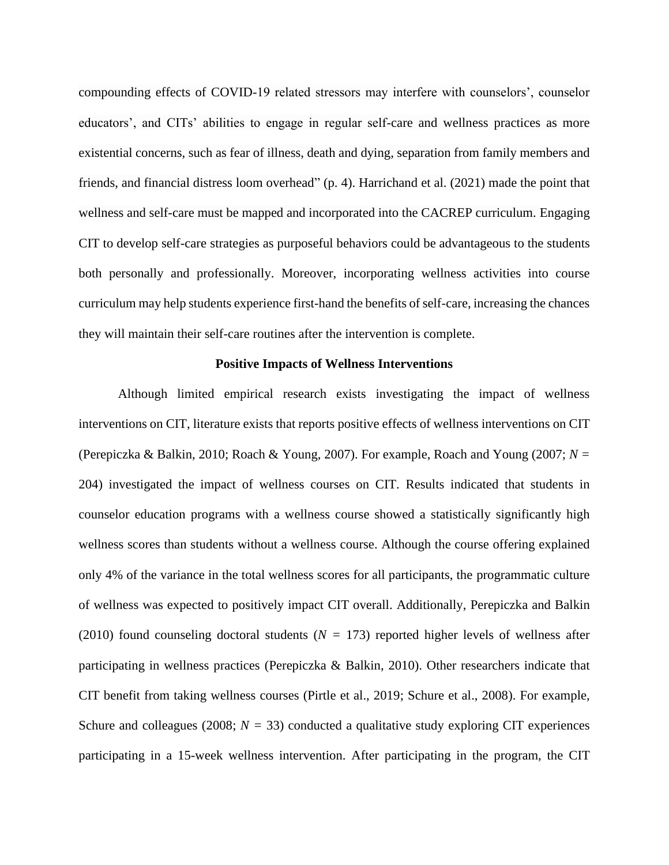compounding effects of COVID-19 related stressors may interfere with counselors', counselor educators', and CITs' abilities to engage in regular self-care and wellness practices as more existential concerns, such as fear of illness, death and dying, separation from family members and friends, and financial distress loom overhead" (p. 4). Harrichand et al. (2021) made the point that wellness and self-care must be mapped and incorporated into the CACREP curriculum. Engaging CIT to develop self-care strategies as purposeful behaviors could be advantageous to the students both personally and professionally. Moreover, incorporating wellness activities into course curriculum may help students experience first-hand the benefits of self-care, increasing the chances they will maintain their self-care routines after the intervention is complete.

#### **Positive Impacts of Wellness Interventions**

Although limited empirical research exists investigating the impact of wellness interventions on CIT, literature exists that reports positive effects of wellness interventions on CIT (Perepiczka & Balkin, 2010; Roach & Young, 2007). For example, Roach and Young (2007; *N =* 204) investigated the impact of wellness courses on CIT. Results indicated that students in counselor education programs with a wellness course showed a statistically significantly high wellness scores than students without a wellness course. Although the course offering explained only 4% of the variance in the total wellness scores for all participants, the programmatic culture of wellness was expected to positively impact CIT overall. Additionally, Perepiczka and Balkin (2010) found counseling doctoral students ( $N = 173$ ) reported higher levels of wellness after participating in wellness practices (Perepiczka & Balkin, 2010). Other researchers indicate that CIT benefit from taking wellness courses (Pirtle et al., 2019; Schure et al., 2008). For example, Schure and colleagues (2008;  $N = 33$ ) conducted a qualitative study exploring CIT experiences participating in a 15-week wellness intervention. After participating in the program, the CIT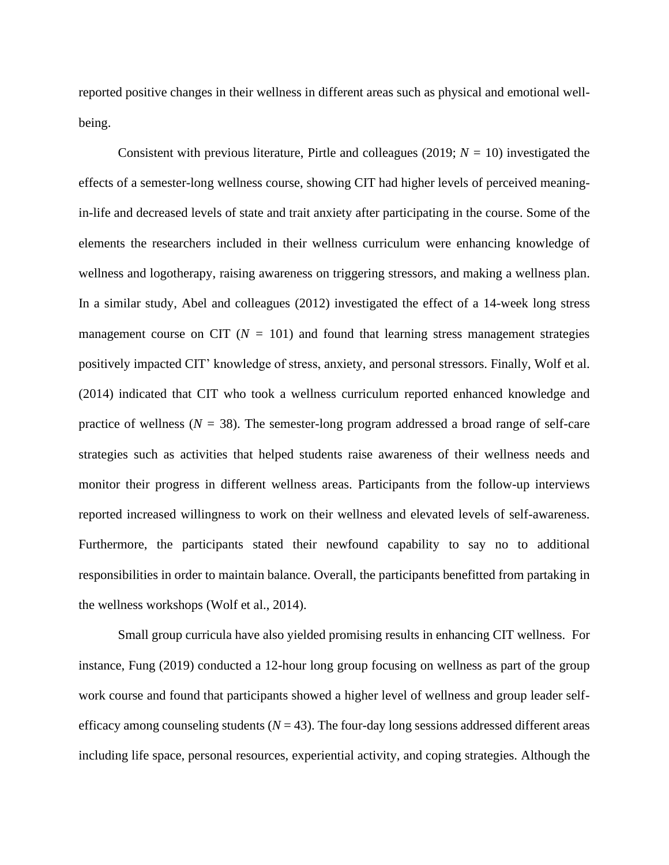reported positive changes in their wellness in different areas such as physical and emotional wellbeing.

Consistent with previous literature, Pirtle and colleagues (2019;  $N = 10$ ) investigated the effects of a semester-long wellness course, showing CIT had higher levels of perceived meaningin-life and decreased levels of state and trait anxiety after participating in the course. Some of the elements the researchers included in their wellness curriculum were enhancing knowledge of wellness and logotherapy, raising awareness on triggering stressors, and making a wellness plan. In a similar study, Abel and colleagues (2012) investigated the effect of a 14-week long stress management course on CIT ( $N = 101$ ) and found that learning stress management strategies positively impacted CIT' knowledge of stress, anxiety, and personal stressors. Finally, Wolf et al. (2014) indicated that CIT who took a wellness curriculum reported enhanced knowledge and practice of wellness ( $N = 38$ ). The semester-long program addressed a broad range of self-care strategies such as activities that helped students raise awareness of their wellness needs and monitor their progress in different wellness areas. Participants from the follow-up interviews reported increased willingness to work on their wellness and elevated levels of self-awareness. Furthermore, the participants stated their newfound capability to say no to additional responsibilities in order to maintain balance. Overall, the participants benefitted from partaking in the wellness workshops (Wolf et al., 2014).

Small group curricula have also yielded promising results in enhancing CIT wellness. For instance, Fung (2019) conducted a 12-hour long group focusing on wellness as part of the group work course and found that participants showed a higher level of wellness and group leader selfefficacy among counseling students  $(N = 43)$ . The four-day long sessions addressed different areas including life space, personal resources, experiential activity, and coping strategies. Although the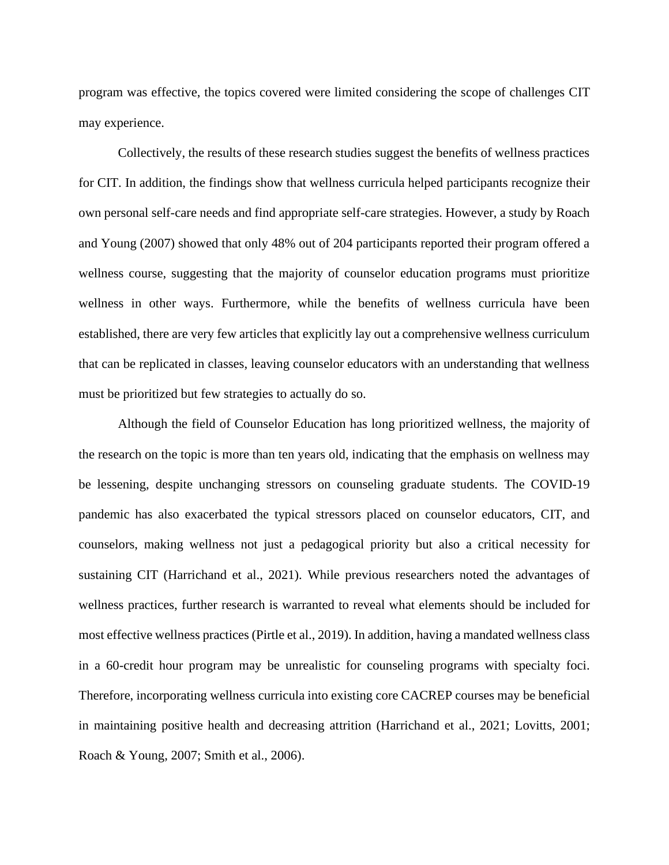program was effective, the topics covered were limited considering the scope of challenges CIT may experience.

Collectively, the results of these research studies suggest the benefits of wellness practices for CIT. In addition, the findings show that wellness curricula helped participants recognize their own personal self-care needs and find appropriate self-care strategies. However, a study by Roach and Young (2007) showed that only 48% out of 204 participants reported their program offered a wellness course, suggesting that the majority of counselor education programs must prioritize wellness in other ways. Furthermore, while the benefits of wellness curricula have been established, there are very few articles that explicitly lay out a comprehensive wellness curriculum that can be replicated in classes, leaving counselor educators with an understanding that wellness must be prioritized but few strategies to actually do so.

Although the field of Counselor Education has long prioritized wellness, the majority of the research on the topic is more than ten years old, indicating that the emphasis on wellness may be lessening, despite unchanging stressors on counseling graduate students. The COVID-19 pandemic has also exacerbated the typical stressors placed on counselor educators, CIT, and counselors, making wellness not just a pedagogical priority but also a critical necessity for sustaining CIT (Harrichand et al., 2021). While previous researchers noted the advantages of wellness practices, further research is warranted to reveal what elements should be included for most effective wellness practices (Pirtle et al., 2019). In addition, having a mandated wellness class in a 60-credit hour program may be unrealistic for counseling programs with specialty foci. Therefore, incorporating wellness curricula into existing core CACREP courses may be beneficial in maintaining positive health and decreasing attrition (Harrichand et al., 2021; Lovitts, 2001; Roach & Young, 2007; Smith et al., 2006).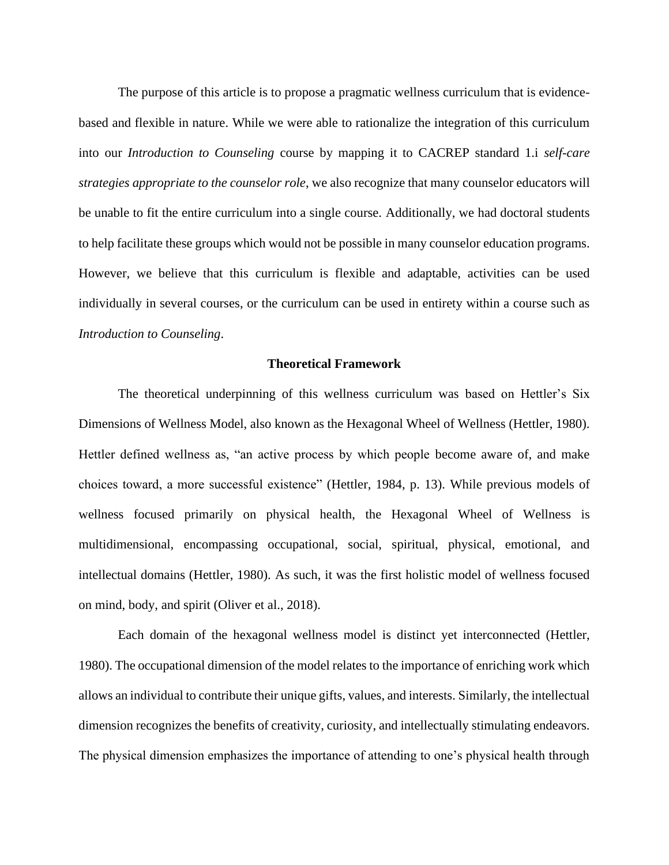The purpose of this article is to propose a pragmatic wellness curriculum that is evidencebased and flexible in nature. While we were able to rationalize the integration of this curriculum into our *Introduction to Counseling* course by mapping it to CACREP standard 1.i *self-care strategies appropriate to the counselor role*, we also recognize that many counselor educators will be unable to fit the entire curriculum into a single course. Additionally, we had doctoral students to help facilitate these groups which would not be possible in many counselor education programs. However, we believe that this curriculum is flexible and adaptable, activities can be used individually in several courses, or the curriculum can be used in entirety within a course such as *Introduction to Counseling*.

#### **Theoretical Framework**

The theoretical underpinning of this wellness curriculum was based on Hettler's Six Dimensions of Wellness Model, also known as the Hexagonal Wheel of Wellness (Hettler, 1980). Hettler defined wellness as, "an active process by which people become aware of, and make choices toward, a more successful existence" (Hettler, 1984, p. 13). While previous models of wellness focused primarily on physical health, the Hexagonal Wheel of Wellness is multidimensional, encompassing occupational, social, spiritual, physical, emotional, and intellectual domains (Hettler, 1980). As such, it was the first holistic model of wellness focused on mind, body, and spirit (Oliver et al., 2018).

Each domain of the hexagonal wellness model is distinct yet interconnected (Hettler, 1980). The occupational dimension of the model relates to the importance of enriching work which allows an individual to contribute their unique gifts, values, and interests. Similarly, the intellectual dimension recognizes the benefits of creativity, curiosity, and intellectually stimulating endeavors. The physical dimension emphasizes the importance of attending to one's physical health through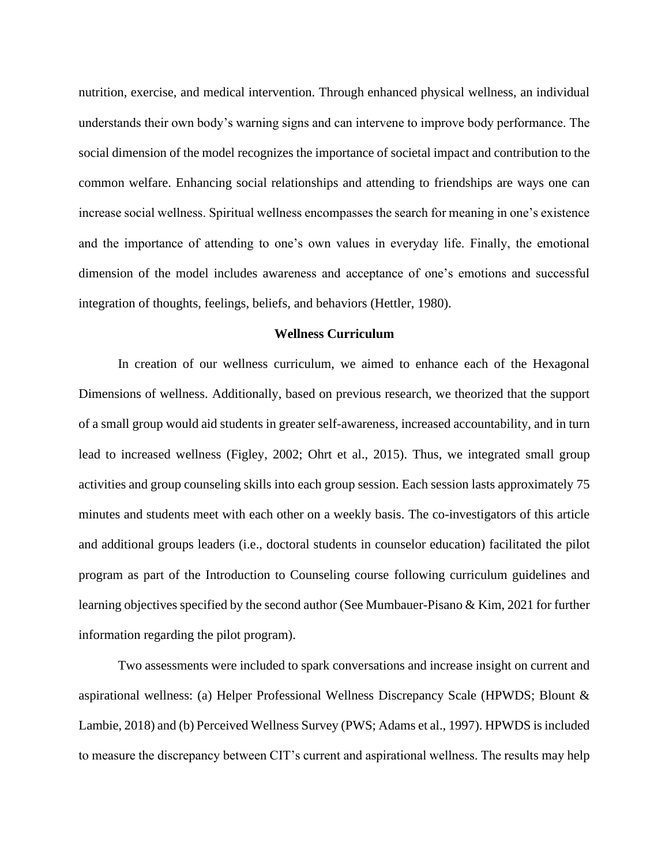nutrition, exercise, and medical intervention. Through enhanced physical wellness, an individual understands their own body's warning signs and can intervene to improve body performance. The social dimension of the model recognizes the importance of societal impact and contribution to the common welfare. Enhancing social relationships and attending to friendships are ways one can increase social wellness. Spiritual wellness encompasses the search for meaning in one's existence and the importance of attending to one's own values in everyday life. Finally, the emotional dimension of the model includes awareness and acceptance of one's emotions and successful integration of thoughts, feelings, beliefs, and behaviors (Hettler, 1980).

### **Wellness Curriculum**

In creation of our wellness curriculum, we aimed to enhance each of the Hexagonal Dimensions of wellness. Additionally, based on previous research, we theorized that the support of a small group would aid students in greater self-awareness, increased accountability, and in turn lead to increased wellness (Figley, 2002; Ohrt et al., 2015). Thus, we integrated small group activities and group counseling skills into each group session. Each session lasts approximately 75 minutes and students meet with each other on a weekly basis. The co-investigators of this article and additional groups leaders (i.e., doctoral students in counselor education) facilitated the pilot program as part of the Introduction to Counseling course following curriculum guidelines and learning objectives specified by the second author (See Mumbauer-Pisano & Kim, 2021 for further information regarding the pilot program).

Two assessments were included to spark conversations and increase insight on current and aspirational wellness: (a) Helper Professional Wellness Discrepancy Scale (HPWDS; Blount & Lambie, 2018) and (b) Perceived Wellness Survey (PWS; Adams et al., 1997). HPWDS is included to measure the discrepancy between CIT's current and aspirational wellness. The results may help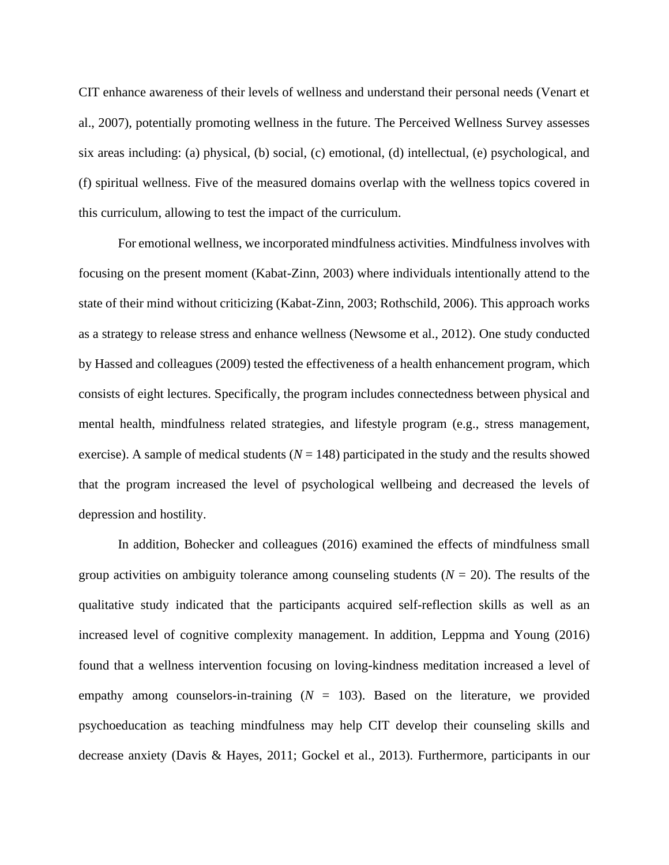CIT enhance awareness of their levels of wellness and understand their personal needs (Venart et al., 2007), potentially promoting wellness in the future. The Perceived Wellness Survey assesses six areas including: (a) physical, (b) social, (c) emotional, (d) intellectual, (e) psychological, and (f) spiritual wellness. Five of the measured domains overlap with the wellness topics covered in this curriculum, allowing to test the impact of the curriculum.

For emotional wellness, we incorporated mindfulness activities. Mindfulness involves with focusing on the present moment (Kabat-Zinn, 2003) where individuals intentionally attend to the state of their mind without criticizing (Kabat-Zinn, 2003; Rothschild, 2006). This approach works as a strategy to release stress and enhance wellness (Newsome et al., 2012). One study conducted by Hassed and colleagues (2009) tested the effectiveness of a health enhancement program, which consists of eight lectures. Specifically, the program includes connectedness between physical and mental health, mindfulness related strategies, and lifestyle program (e.g., stress management, exercise). A sample of medical students  $(N = 148)$  participated in the study and the results showed that the program increased the level of psychological wellbeing and decreased the levels of depression and hostility.

In addition, Bohecker and colleagues (2016) examined the effects of mindfulness small group activities on ambiguity tolerance among counseling students  $(N = 20)$ . The results of the qualitative study indicated that the participants acquired self-reflection skills as well as an increased level of cognitive complexity management. In addition, Leppma and Young (2016) found that a wellness intervention focusing on loving-kindness meditation increased a level of empathy among counselors-in-training  $(N = 103)$ . Based on the literature, we provided psychoeducation as teaching mindfulness may help CIT develop their counseling skills and decrease anxiety (Davis & Hayes, 2011; Gockel et al., 2013). Furthermore, participants in our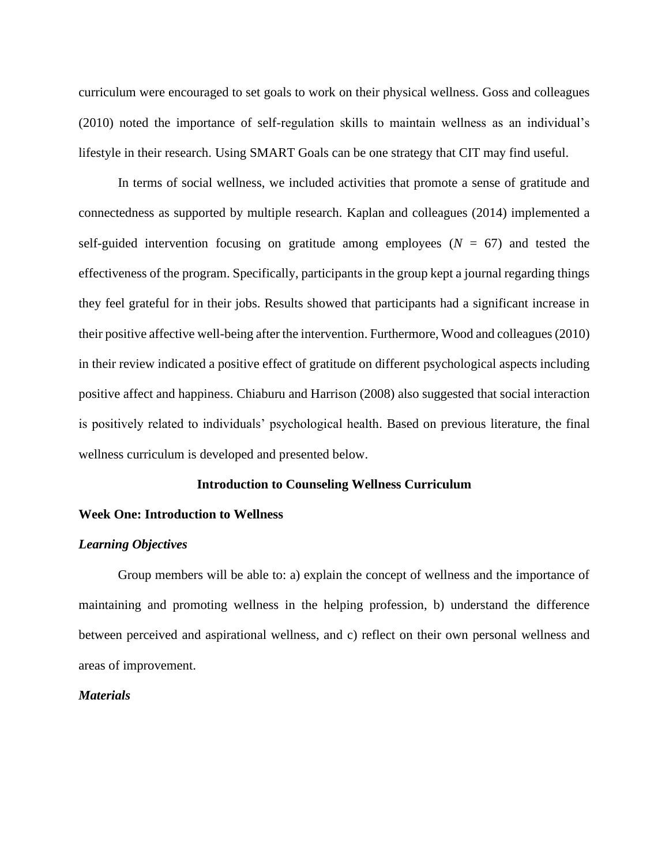curriculum were encouraged to set goals to work on their physical wellness. Goss and colleagues (2010) noted the importance of self-regulation skills to maintain wellness as an individual's lifestyle in their research. Using SMART Goals can be one strategy that CIT may find useful.

In terms of social wellness, we included activities that promote a sense of gratitude and connectedness as supported by multiple research. Kaplan and colleagues (2014) implemented a self-guided intervention focusing on gratitude among employees  $(N = 67)$  and tested the effectiveness of the program. Specifically, participants in the group kept a journal regarding things they feel grateful for in their jobs. Results showed that participants had a significant increase in their positive affective well-being after the intervention. Furthermore, Wood and colleagues (2010) in their review indicated a positive effect of gratitude on different psychological aspects including positive affect and happiness. Chiaburu and Harrison (2008) also suggested that social interaction is positively related to individuals' psychological health. Based on previous literature, the final wellness curriculum is developed and presented below.

#### **Introduction to Counseling Wellness Curriculum**

#### **Week One: Introduction to Wellness**

#### *Learning Objectives*

Group members will be able to: a) explain the concept of wellness and the importance of maintaining and promoting wellness in the helping profession, b) understand the difference between perceived and aspirational wellness, and c) reflect on their own personal wellness and areas of improvement.

#### *Materials*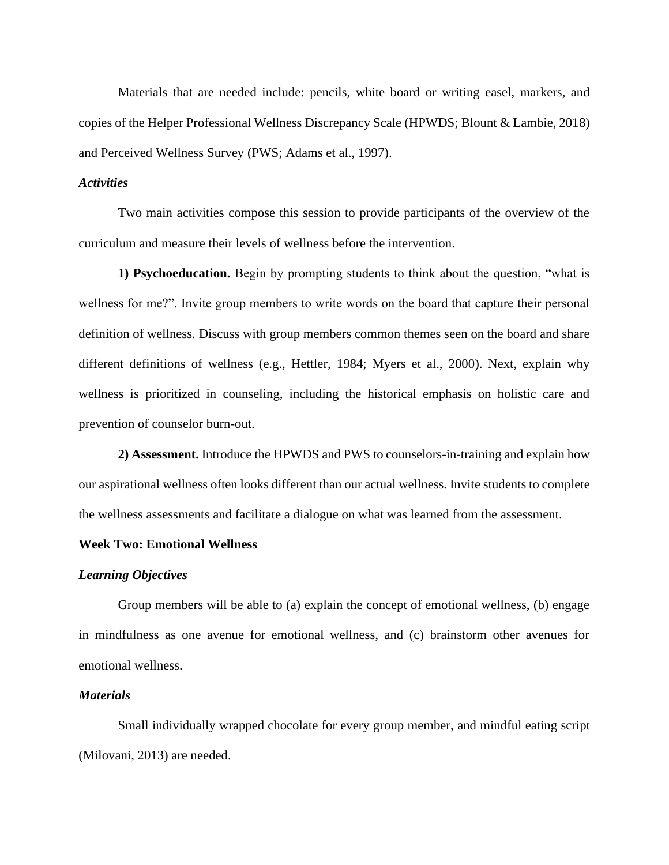Materials that are needed include: pencils, white board or writing easel, markers, and copies of the Helper Professional Wellness Discrepancy Scale (HPWDS; Blount & Lambie, 2018) and Perceived Wellness Survey (PWS; Adams et al., 1997).

### *Activities*

Two main activities compose this session to provide participants of the overview of the curriculum and measure their levels of wellness before the intervention.

**1) Psychoeducation.** Begin by prompting students to think about the question, "what is wellness for me?". Invite group members to write words on the board that capture their personal definition of wellness. Discuss with group members common themes seen on the board and share different definitions of wellness (e.g., Hettler, 1984; Myers et al., 2000). Next, explain why wellness is prioritized in counseling, including the historical emphasis on holistic care and prevention of counselor burn-out.

**2) Assessment.** Introduce the HPWDS and PWS to counselors-in-training and explain how our aspirational wellness often looks different than our actual wellness. Invite students to complete the wellness assessments and facilitate a dialogue on what was learned from the assessment.

#### **Week Two: Emotional Wellness**

#### *Learning Objectives*

Group members will be able to (a) explain the concept of emotional wellness, (b) engage in mindfulness as one avenue for emotional wellness, and (c) brainstorm other avenues for emotional wellness.

#### *Materials*

Small individually wrapped chocolate for every group member, and mindful eating script (Milovani, 2013) are needed.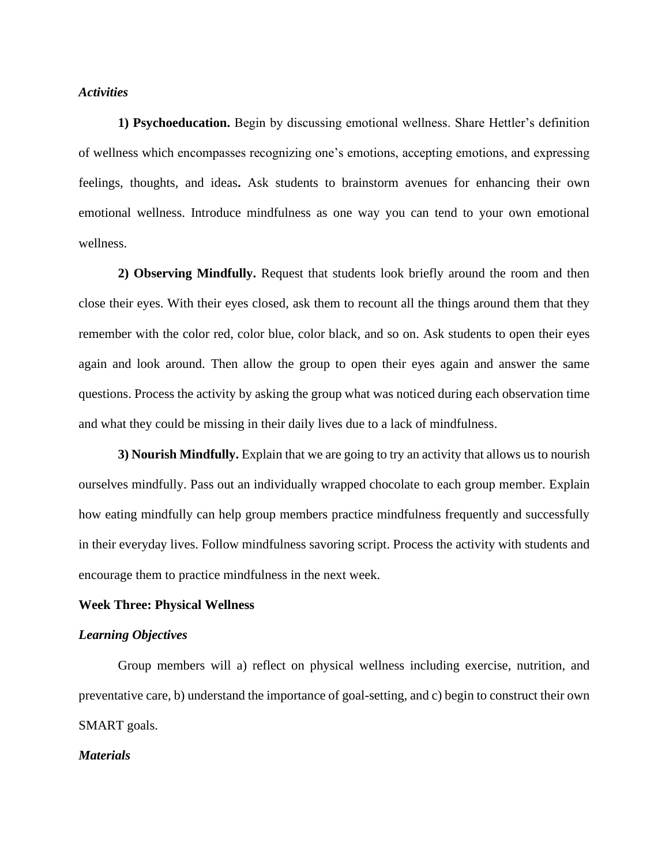## *Activities*

**1) Psychoeducation.** Begin by discussing emotional wellness. Share Hettler's definition of wellness which encompasses recognizing one's emotions, accepting emotions, and expressing feelings, thoughts, and ideas**.** Ask students to brainstorm avenues for enhancing their own emotional wellness. Introduce mindfulness as one way you can tend to your own emotional wellness.

**2) Observing Mindfully.** Request that students look briefly around the room and then close their eyes. With their eyes closed, ask them to recount all the things around them that they remember with the color red, color blue, color black, and so on. Ask students to open their eyes again and look around. Then allow the group to open their eyes again and answer the same questions. Process the activity by asking the group what was noticed during each observation time and what they could be missing in their daily lives due to a lack of mindfulness.

**3) Nourish Mindfully.** Explain that we are going to try an activity that allows us to nourish ourselves mindfully. Pass out an individually wrapped chocolate to each group member. Explain how eating mindfully can help group members practice mindfulness frequently and successfully in their everyday lives. Follow mindfulness savoring script. Process the activity with students and encourage them to practice mindfulness in the next week.

#### **Week Three: Physical Wellness**

## *Learning Objectives*

Group members will a) reflect on physical wellness including exercise, nutrition, and preventative care, b) understand the importance of goal-setting, and c) begin to construct their own SMART goals.

#### *Materials*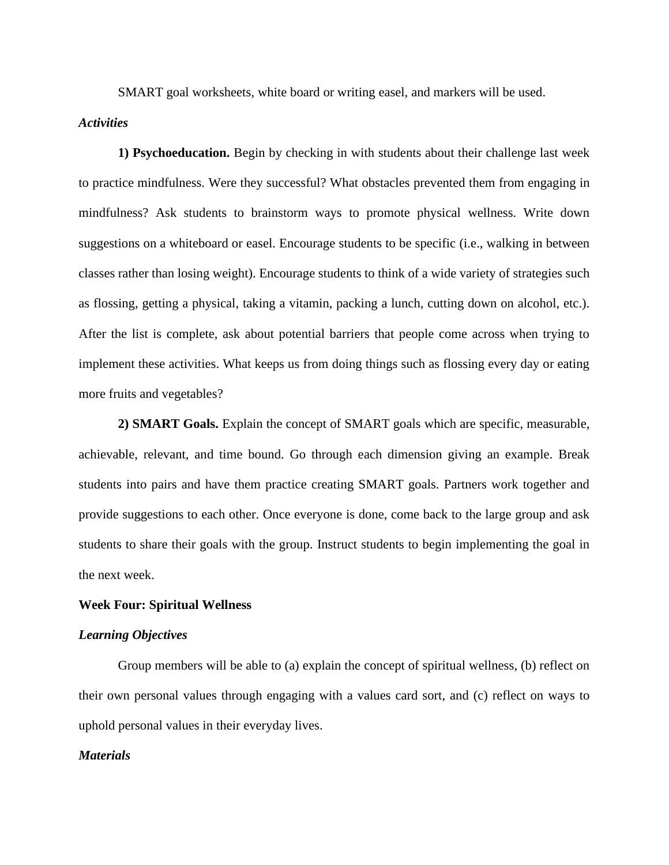SMART goal worksheets, white board or writing easel, and markers will be used.

## *Activities*

**1) Psychoeducation.** Begin by checking in with students about their challenge last week to practice mindfulness. Were they successful? What obstacles prevented them from engaging in mindfulness? Ask students to brainstorm ways to promote physical wellness. Write down suggestions on a whiteboard or easel. Encourage students to be specific (i.e., walking in between classes rather than losing weight). Encourage students to think of a wide variety of strategies such as flossing, getting a physical, taking a vitamin, packing a lunch, cutting down on alcohol, etc.). After the list is complete, ask about potential barriers that people come across when trying to implement these activities. What keeps us from doing things such as flossing every day or eating more fruits and vegetables?

**2) SMART Goals.** Explain the concept of SMART goals which are specific, measurable, achievable, relevant, and time bound. Go through each dimension giving an example. Break students into pairs and have them practice creating SMART goals. Partners work together and provide suggestions to each other. Once everyone is done, come back to the large group and ask students to share their goals with the group. Instruct students to begin implementing the goal in the next week.

#### **Week Four: Spiritual Wellness**

#### *Learning Objectives*

Group members will be able to (a) explain the concept of spiritual wellness, (b) reflect on their own personal values through engaging with a values card sort, and (c) reflect on ways to uphold personal values in their everyday lives.

#### *Materials*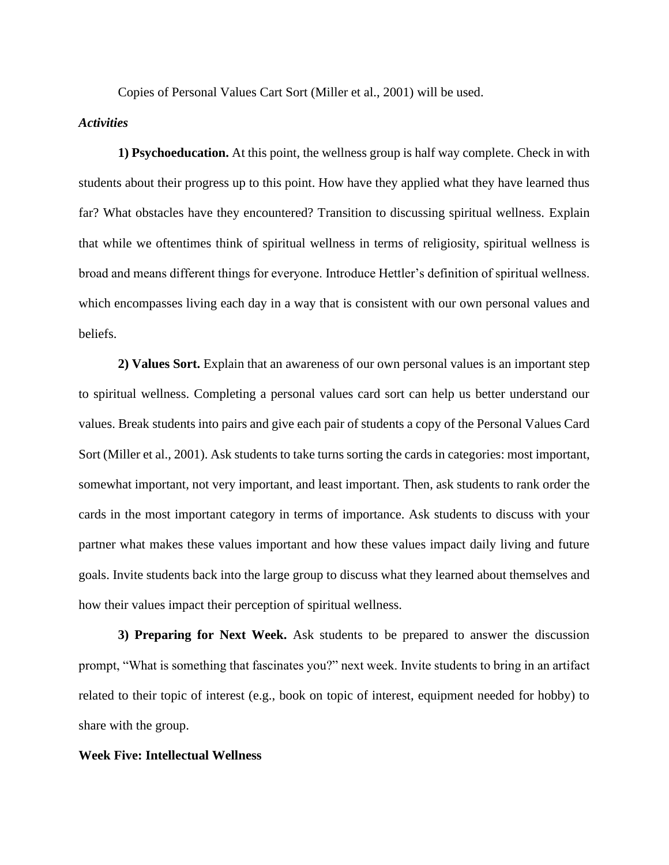Copies of Personal Values Cart Sort (Miller et al., 2001) will be used.

#### *Activities*

**1) Psychoeducation.** At this point, the wellness group is half way complete. Check in with students about their progress up to this point. How have they applied what they have learned thus far? What obstacles have they encountered? Transition to discussing spiritual wellness. Explain that while we oftentimes think of spiritual wellness in terms of religiosity, spiritual wellness is broad and means different things for everyone. Introduce Hettler's definition of spiritual wellness. which encompasses living each day in a way that is consistent with our own personal values and beliefs.

**2) Values Sort.** Explain that an awareness of our own personal values is an important step to spiritual wellness. Completing a personal values card sort can help us better understand our values. Break students into pairs and give each pair of students a copy of the Personal Values Card Sort (Miller et al., 2001). Ask students to take turns sorting the cards in categories: most important, somewhat important, not very important, and least important. Then, ask students to rank order the cards in the most important category in terms of importance. Ask students to discuss with your partner what makes these values important and how these values impact daily living and future goals. Invite students back into the large group to discuss what they learned about themselves and how their values impact their perception of spiritual wellness.

**3) Preparing for Next Week.** Ask students to be prepared to answer the discussion prompt, "What is something that fascinates you?" next week. Invite students to bring in an artifact related to their topic of interest (e.g., book on topic of interest, equipment needed for hobby) to share with the group.

#### **Week Five: Intellectual Wellness**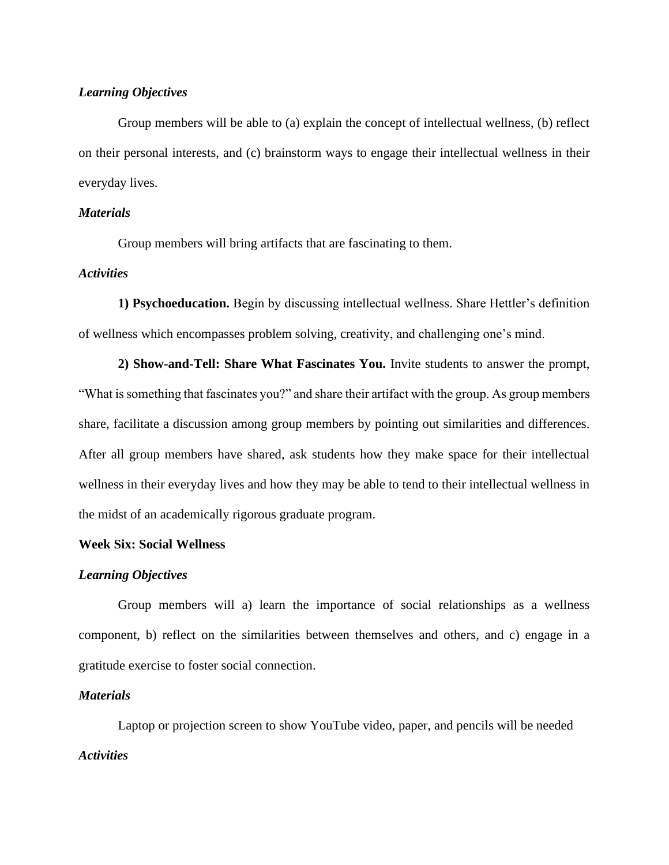## *Learning Objectives*

Group members will be able to (a) explain the concept of intellectual wellness, (b) reflect on their personal interests, and (c) brainstorm ways to engage their intellectual wellness in their everyday lives.

## *Materials*

Group members will bring artifacts that are fascinating to them.

## *Activities*

**1) Psychoeducation.** Begin by discussing intellectual wellness. Share Hettler's definition of wellness which encompasses problem solving, creativity, and challenging one's mind.

**2) Show-and-Tell: Share What Fascinates You.** Invite students to answer the prompt, "What is something that fascinates you?" and share their artifact with the group. As group members share, facilitate a discussion among group members by pointing out similarities and differences. After all group members have shared, ask students how they make space for their intellectual wellness in their everyday lives and how they may be able to tend to their intellectual wellness in the midst of an academically rigorous graduate program.

#### **Week Six: Social Wellness**

#### *Learning Objectives*

Group members will a) learn the importance of social relationships as a wellness component, b) reflect on the similarities between themselves and others, and c) engage in a gratitude exercise to foster social connection.

#### *Materials*

Laptop or projection screen to show YouTube video, paper, and pencils will be needed *Activities*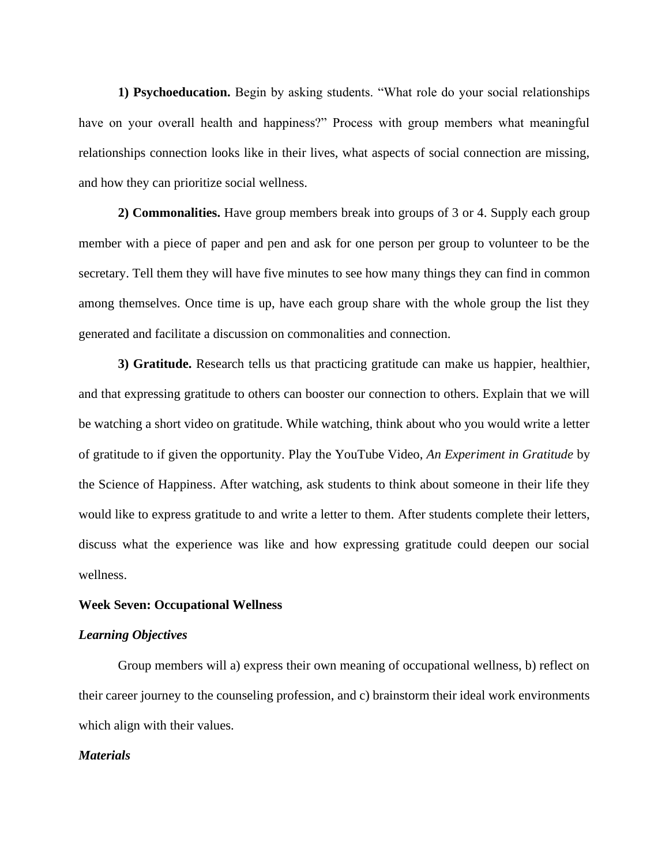**1) Psychoeducation.** Begin by asking students. "What role do your social relationships have on your overall health and happiness?" Process with group members what meaningful relationships connection looks like in their lives, what aspects of social connection are missing, and how they can prioritize social wellness.

**2) Commonalities.** Have group members break into groups of 3 or 4. Supply each group member with a piece of paper and pen and ask for one person per group to volunteer to be the secretary. Tell them they will have five minutes to see how many things they can find in common among themselves. Once time is up, have each group share with the whole group the list they generated and facilitate a discussion on commonalities and connection.

**3) Gratitude.** Research tells us that practicing gratitude can make us happier, healthier, and that expressing gratitude to others can booster our connection to others. Explain that we will be watching a short video on gratitude. While watching, think about who you would write a letter of gratitude to if given the opportunity. Play the YouTube Video, *An Experiment in Gratitude* by the Science of Happiness. After watching, ask students to think about someone in their life they would like to express gratitude to and write a letter to them. After students complete their letters, discuss what the experience was like and how expressing gratitude could deepen our social wellness.

#### **Week Seven: Occupational Wellness**

#### *Learning Objectives*

Group members will a) express their own meaning of occupational wellness, b) reflect on their career journey to the counseling profession, and c) brainstorm their ideal work environments which align with their values.

#### *Materials*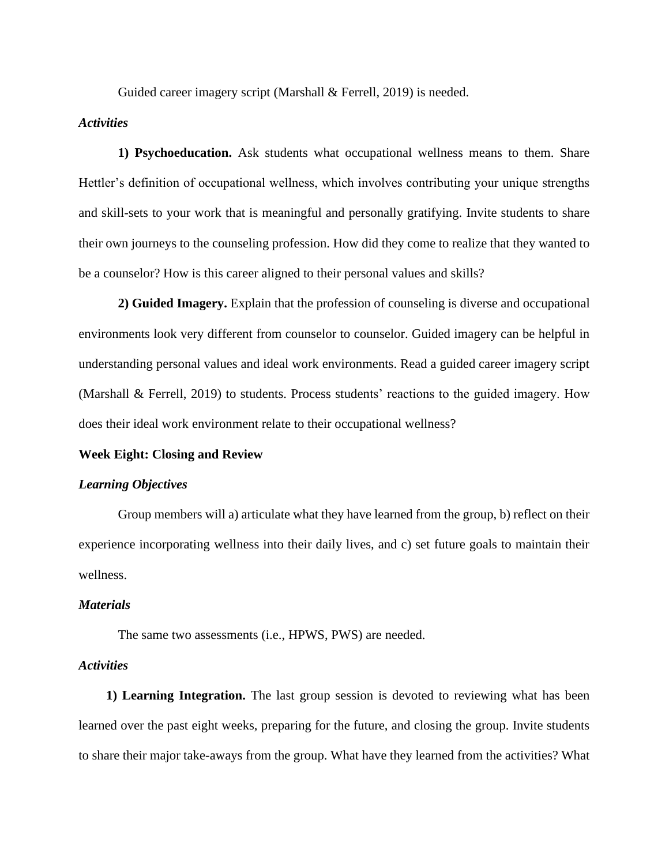Guided career imagery script (Marshall & Ferrell, 2019) is needed.

## *Activities*

**1) Psychoeducation.** Ask students what occupational wellness means to them. Share Hettler's definition of occupational wellness, which involves contributing your unique strengths and skill-sets to your work that is meaningful and personally gratifying. Invite students to share their own journeys to the counseling profession. How did they come to realize that they wanted to be a counselor? How is this career aligned to their personal values and skills?

**2) Guided Imagery.** Explain that the profession of counseling is diverse and occupational environments look very different from counselor to counselor. Guided imagery can be helpful in understanding personal values and ideal work environments. Read a guided career imagery script (Marshall & Ferrell, 2019) to students. Process students' reactions to the guided imagery. How does their ideal work environment relate to their occupational wellness?

#### **Week Eight: Closing and Review**

#### *Learning Objectives*

Group members will a) articulate what they have learned from the group, b) reflect on their experience incorporating wellness into their daily lives, and c) set future goals to maintain their wellness.

#### *Materials*

The same two assessments (i.e., HPWS, PWS) are needed.

#### *Activities*

**1) Learning Integration.** The last group session is devoted to reviewing what has been learned over the past eight weeks, preparing for the future, and closing the group. Invite students to share their major take-aways from the group. What have they learned from the activities? What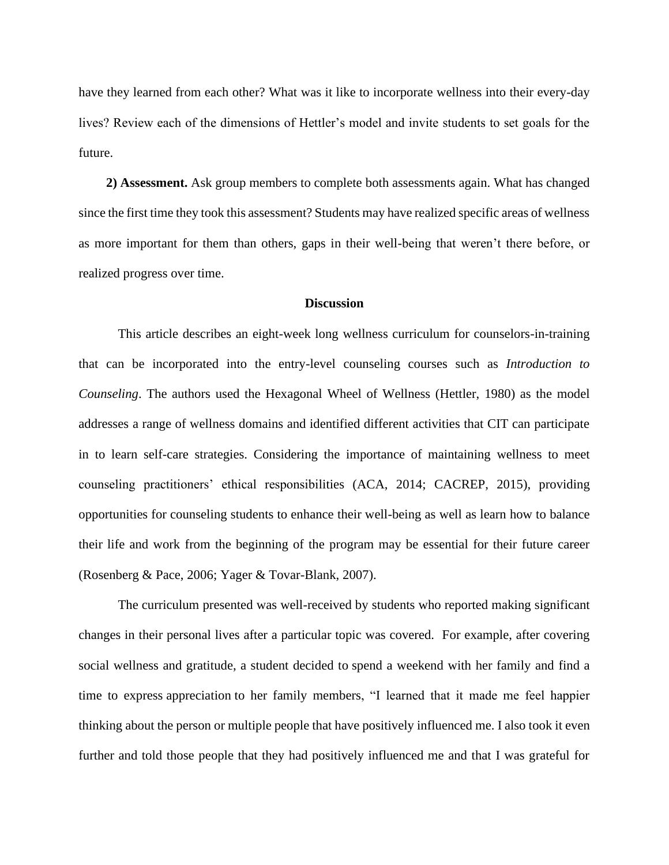have they learned from each other? What was it like to incorporate wellness into their every-day lives? Review each of the dimensions of Hettler's model and invite students to set goals for the future.

**2) Assessment.** Ask group members to complete both assessments again. What has changed since the first time they took this assessment? Students may have realized specific areas of wellness as more important for them than others, gaps in their well-being that weren't there before, or realized progress over time.

#### **Discussion**

This article describes an eight-week long wellness curriculum for counselors-in-training that can be incorporated into the entry-level counseling courses such as *Introduction to Counseling*. The authors used the Hexagonal Wheel of Wellness (Hettler, 1980) as the model addresses a range of wellness domains and identified different activities that CIT can participate in to learn self-care strategies. Considering the importance of maintaining wellness to meet counseling practitioners' ethical responsibilities (ACA, 2014; CACREP, 2015), providing opportunities for counseling students to enhance their well-being as well as learn how to balance their life and work from the beginning of the program may be essential for their future career (Rosenberg & Pace, 2006; Yager & Tovar-Blank, 2007).

The curriculum presented was well-received by students who reported making significant changes in their personal lives after a particular topic was covered. For example, after covering social wellness and gratitude, a student decided to spend a weekend with her family and find a time to express appreciation to her family members, "I learned that it made me feel happier thinking about the person or multiple people that have positively influenced me. I also took it even further and told those people that they had positively influenced me and that I was grateful for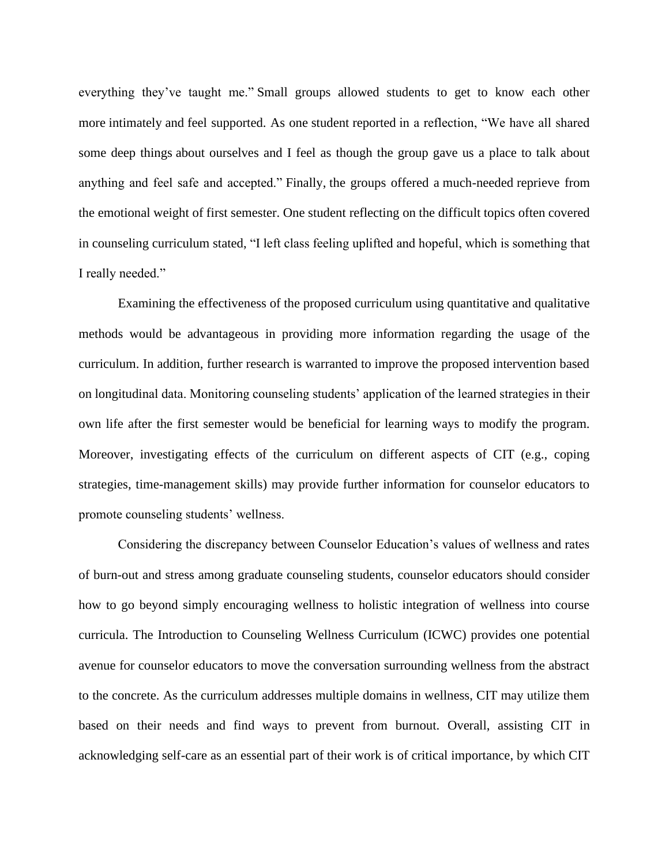everything they've taught me." Small groups allowed students to get to know each other more intimately and feel supported. As one student reported in a reflection, "We have all shared some deep things about ourselves and I feel as though the group gave us a place to talk about anything and feel safe and accepted." Finally, the groups offered a much-needed reprieve from the emotional weight of first semester. One student reflecting on the difficult topics often covered in counseling curriculum stated, "I left class feeling uplifted and hopeful, which is something that I really needed."

Examining the effectiveness of the proposed curriculum using quantitative and qualitative methods would be advantageous in providing more information regarding the usage of the curriculum. In addition, further research is warranted to improve the proposed intervention based on longitudinal data. Monitoring counseling students' application of the learned strategies in their own life after the first semester would be beneficial for learning ways to modify the program. Moreover, investigating effects of the curriculum on different aspects of CIT (e.g., coping strategies, time-management skills) may provide further information for counselor educators to promote counseling students' wellness.

Considering the discrepancy between Counselor Education's values of wellness and rates of burn-out and stress among graduate counseling students, counselor educators should consider how to go beyond simply encouraging wellness to holistic integration of wellness into course curricula. The Introduction to Counseling Wellness Curriculum (ICWC) provides one potential avenue for counselor educators to move the conversation surrounding wellness from the abstract to the concrete. As the curriculum addresses multiple domains in wellness, CIT may utilize them based on their needs and find ways to prevent from burnout. Overall, assisting CIT in acknowledging self-care as an essential part of their work is of critical importance, by which CIT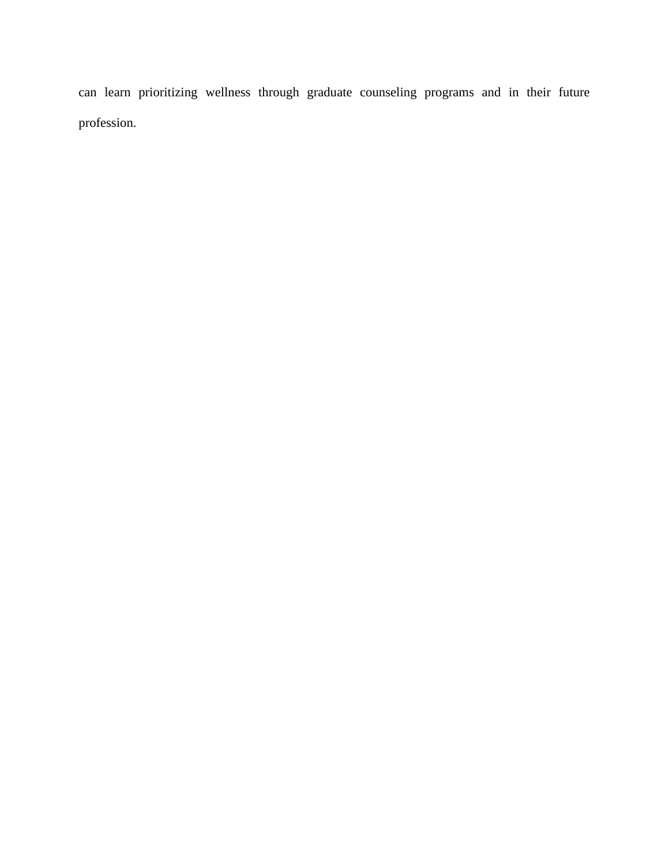can learn prioritizing wellness through graduate counseling programs and in their future profession.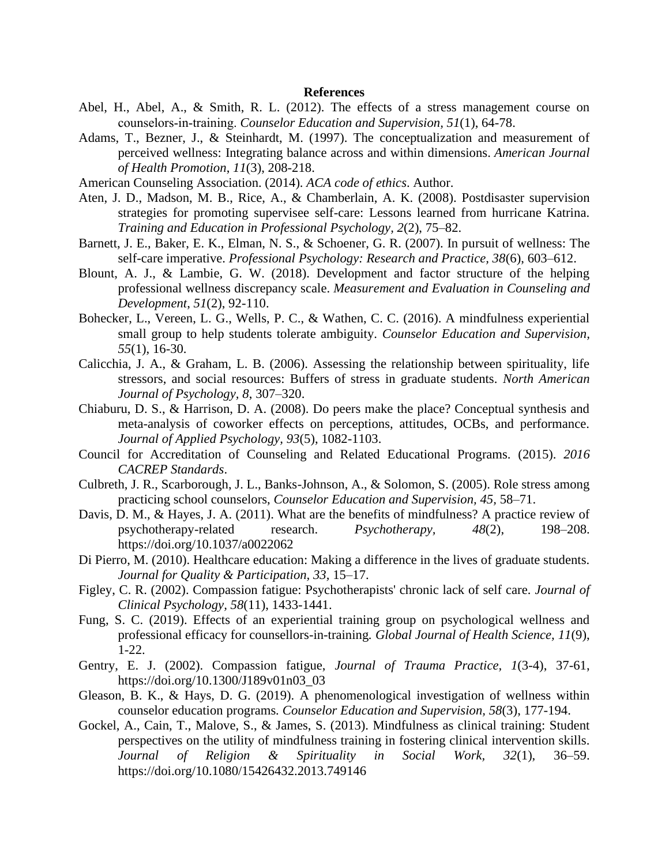#### **References**

- Abel, H., Abel, A., & Smith, R. L. (2012). The effects of a stress management course on counselors‐in‐training. *Counselor Education and Supervision, 51*(1), 64-78.
- Adams, T., Bezner, J., & Steinhardt, M. (1997). The conceptualization and measurement of perceived wellness: Integrating balance across and within dimensions. *American Journal of Health Promotion*, *11*(3), 208-218.
- American Counseling Association. (2014). *ACA code of ethics*. Author.
- Aten, J. D., Madson, M. B., Rice, A., & Chamberlain, A. K. (2008). Postdisaster supervision strategies for promoting supervisee self-care: Lessons learned from hurricane Katrina. *Training and Education in Professional Psychology, 2*(2), 75–82.
- Barnett, J. E., Baker, E. K., Elman, N. S., & Schoener, G. R. (2007). In pursuit of wellness: The self-care imperative. *Professional Psychology: Research and Practice, 38*(6), 603–612.
- Blount, A. J., & Lambie, G. W. (2018). Development and factor structure of the helping professional wellness discrepancy scale. *Measurement and Evaluation in Counseling and Development*, *51*(2), 92-110.
- Bohecker, L., Vereen, L. G., Wells, P. C., & Wathen, C. C. (2016). A mindfulness experiential small group to help students tolerate ambiguity. *Counselor Education and Supervision, 55*(1), 16-30.
- Calicchia, J. A., & Graham, L. B. (2006). Assessing the relationship between spirituality, life stressors, and social resources: Buffers of stress in graduate students. *North American Journal of Psychology, 8*, 307–320.
- Chiaburu, D. S., & Harrison, D. A. (2008). Do peers make the place? Conceptual synthesis and meta-analysis of coworker effects on perceptions, attitudes, OCBs, and performance. *Journal of Applied Psychology, 93*(5), 1082-1103.
- Council for Accreditation of Counseling and Related Educational Programs. (2015). *2016 CACREP Standards*.
- Culbreth, J. R., Scarborough, J. L., Banks-Johnson, A., & Solomon, S. (2005). Role stress among practicing school counselors, *Counselor Education and Supervision, 45,* 58–71.
- Davis, D. M., & Hayes, J. A. (2011). What are the benefits of mindfulness? A practice review of psychotherapy-related research. *Psychotherapy, 48*(2), 198–208. <https://doi.org/10.1037/a0022062>
- Di Pierro, M. (2010). Healthcare education: Making a difference in the lives of graduate students. *Journal for Quality & Participation, 33,* 15–17.
- Figley, C. R. (2002). Compassion fatigue: Psychotherapists' chronic lack of self care*. Journal of Clinical Psychology, 58*(11), 1433-1441.
- Fung, S. C. (2019). Effects of an experiential training group on psychological wellness and professional efficacy for counsellors-in-training*. Global Journal of Health Science, 11*(9), 1-22.
- Gentry, E. J. (2002). Compassion fatigue, *Journal of Trauma Practice, 1*(3-4), 37-61, https://doi.org[/10.1300/J189v01n03\\_03](https://doi.org/10.1300/J189v01n03_03)
- Gleason, B. K., & Hays, D. G. (2019). A phenomenological investigation of wellness within counselor education programs*. Counselor Education and Supervision, 58*(3), 177-194.
- Gockel, A., Cain, T., Malove, S., & James, S. (2013). Mindfulness as clinical training: Student perspectives on the utility of mindfulness training in fostering clinical intervention skills. *Journal of Religion & Spirituality in Social Work, 32*(1), 36–59. <https://doi.org/10.1080/15426432.2013.749146>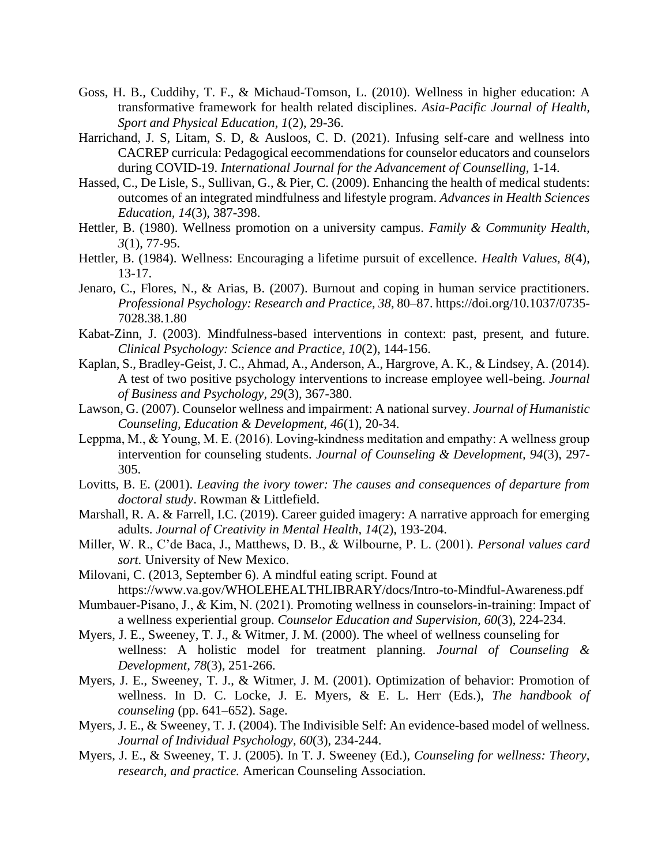- Goss, H. B., Cuddihy, T. F., & Michaud-Tomson, L. (2010). Wellness in higher education: A transformative framework for health related disciplines. *Asia-Pacific Journal of Health, Sport and Physical Education, 1*(2), 29-36.
- Harrichand, J. S, Litam, S. D, & Ausloos, C. D. (2021). Infusing self-care and wellness into CACREP curricula: Pedagogical eecommendations for counselor educators and counselors during COVID-19. *International Journal for the Advancement of Counselling,* 1-14.
- Hassed, C., De Lisle, S., Sullivan, G., & Pier, C. (2009). Enhancing the health of medical students: outcomes of an integrated mindfulness and lifestyle program. *Advances in Health Sciences Education, 14*(3), 387-398.
- Hettler, B. (1980). Wellness promotion on a university campus. *Family & Community Health, 3*(1), 77-95.
- Hettler, B. (1984). Wellness: Encouraging a lifetime pursuit of excellence. *Health Values, 8*(4), 13-17.
- Jenaro, C., Flores, N., & Arias, B. (2007). Burnout and coping in human service practitioners. *Professional Psychology: Research and Practice, 38*, 80–87. https://doi.org/10.1037/0735- 7028.38.1.80
- Kabat-Zinn, J. (2003). Mindfulness-based interventions in context: past, present, and future. *Clinical Psychology: Science and Practice, 10*(2), 144-156.
- Kaplan, S., Bradley-Geist, J. C., Ahmad, A., Anderson, A., Hargrove, A. K., & Lindsey, A. (2014). A test of two positive psychology interventions to increase employee well-being. *Journal of Business and Psychology, 29*(3), 367-380.
- Lawson, G. (2007). Counselor wellness and impairment: A national survey. *Journal of Humanistic Counseling, Education & Development, 46*(1), 20-34.
- Leppma, M., & Young, M. E. (2016). Loving‐kindness meditation and empathy: A wellness group intervention for counseling students. *Journal of Counseling & Development, 94*(3), 297- 305.
- Lovitts, B. E. (2001). *Leaving the ivory tower: The causes and consequences of departure from doctoral study*. Rowman & Littlefield.
- Marshall, R. A. & Farrell, I.C. (2019). Career guided imagery: A narrative approach for emerging adults. *Journal of Creativity in Mental Health*, *14*(2), 193-204.
- Miller, W. R., C'de Baca, J., Matthews, D. B., & Wilbourne, P. L. (2001). *Personal values card sort.* University of New Mexico.
- Milovani, C. (2013, September 6). A mindful eating script. Found at <https://www.va.gov/WHOLEHEALTHLIBRARY/docs/Intro-to-Mindful-Awareness.pdf>
- Mumbauer-Pisano, J., & Kim, N. (2021). Promoting wellness in counselors-in-training: Impact of a wellness experiential group. *Counselor Education and Supervision, 60*(3), 224-234.
- Myers, J. E., Sweeney, T. J., & Witmer, J. M. (2000). The wheel of wellness counseling for wellness: A holistic model for treatment planning. *Journal of Counseling & Development, 78*(3), 251-266.
- Myers, J. E., Sweeney, T. J., & Witmer, J. M. (2001). Optimization of behavior: Promotion of wellness. In D. C. Locke, J. E. Myers, & E. L. Herr (Eds.), *The handbook of counseling* (pp. 641–652). Sage.
- Myers, J. E., & Sweeney, T. J. (2004). The Indivisible Self: An evidence-based model of wellness. *Journal of Individual Psychology, 60*(3), 234-244.
- Myers, J. E., & Sweeney, T. J. (2005). In T. J. Sweeney (Ed.), *Counseling for wellness: Theory, research, and practice.* American Counseling Association.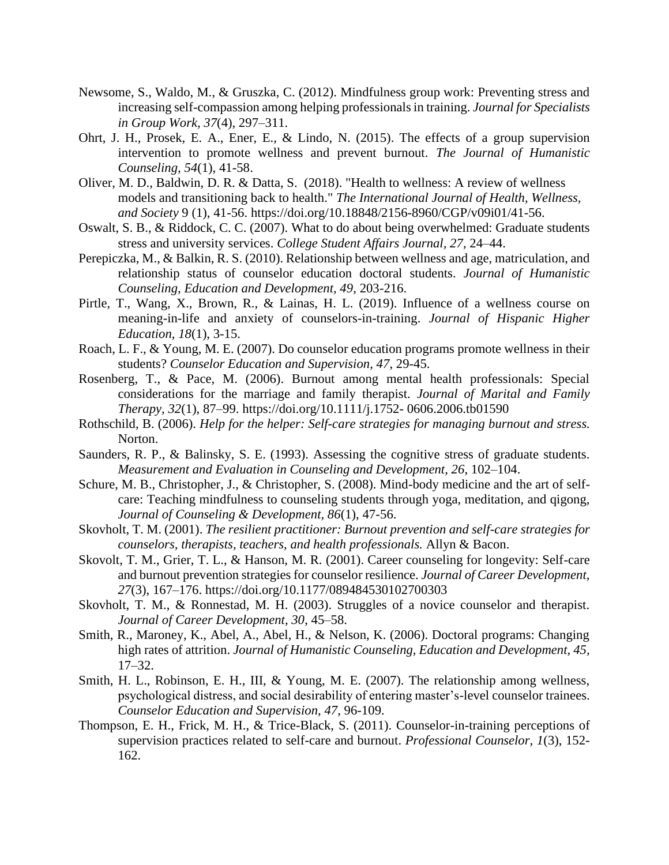- Newsome, S., Waldo, M., & Gruszka, C. (2012). Mindfulness group work: Preventing stress and increasing self-compassion among helping professionals in training. *Journal for Specialists in Group Work, 37*(4), 297–311.
- Ohrt, J. H., Prosek, E. A., Ener, E., & Lindo, N. (2015). The effects of a group supervision intervention to promote wellness and prevent burnout. *The Journal of Humanistic Counseling, 54*(1), 41-58.
- Oliver, M. D., Baldwin, D. R. & Datta, S. (2018). "Health to wellness: A review of wellness models and transitioning back to health." *The International Journal of Health, Wellness, and Society* 9 (1), 41-56. https://doi.org/10.18848/2156-8960/CGP/v09i01/41-56.
- Oswalt, S. B., & Riddock, C. C. (2007). What to do about being overwhelmed: Graduate students stress and university services. *College Student Affairs Journal, 27*, 24–44.
- Perepiczka, M., & Balkin, R. S. (2010). Relationship between wellness and age, matriculation, and relationship status of counselor education doctoral students. *Journal of Humanistic Counseling, Education and Development, 49*, 203-216.
- Pirtle, T., Wang, X., Brown, R., & Lainas, H. L. (2019). Influence of a wellness course on meaning-in-life and anxiety of counselors-in-training. *Journal of Hispanic Higher Education, 18*(1), 3-15.
- Roach, L. F., & Young, M. E. (2007). Do counselor education programs promote wellness in their students? *Counselor Education and Supervision, 47*, 29-45.
- Rosenberg, T., & Pace, M. (2006). Burnout among mental health professionals: Special considerations for the marriage and family therapist. *Journal of Marital and Family Therapy, 32*(1), 87–99. https://doi.org/10.1111/j.1752- 0606.2006.tb01590
- Rothschild, B. (2006). *Help for the helper: Self-care strategies for managing burnout and stress.* Norton.
- Saunders, R. P., & Balinsky, S. E. (1993). Assessing the cognitive stress of graduate students. *Measurement and Evaluation in Counseling and Development, 26*, 102–104.
- Schure, M. B., Christopher, J., & Christopher, S. (2008). Mind-body medicine and the art of selfcare: Teaching mindfulness to counseling students through yoga, meditation, and qigong, *Journal of Counseling & Development, 86*(1), 47-56.
- Skovholt, T. M. (2001). *The resilient practitioner: Burnout prevention and self-care strategies for counselors, therapists, teachers, and health professionals.* Allyn & Bacon.
- Skovolt, T. M., Grier, T. L., & Hanson, M. R. (2001). Career counseling for longevity: Self-care and burnout prevention strategies for counselor resilience. *Journal of Career Development, 27*(3), 167–176. https://doi.org/10.1177/089484530102700303
- Skovholt, T. M., & Ronnestad, M. H. (2003). Struggles of a novice counselor and therapist. *Journal of Career Development, 30*, 45–58.
- Smith, R., Maroney, K., Abel, A., Abel, H., & Nelson, K. (2006). Doctoral programs: Changing high rates of attrition. *Journal of Humanistic Counseling, Education and Development, 45,* 17–32.
- Smith, H. L., Robinson, E. H., III, & Young, M. E. (2007). The relationship among wellness, psychological distress, and social desirability of entering master's-level counselor trainees. *Counselor Education and Supervision, 47*, 96-109.
- Thompson, E. H., Frick, M. H., & Trice-Black, S. (2011). Counselor-in-training perceptions of supervision practices related to self-care and burnout. *Professional Counselor, 1*(3), 152- 162.